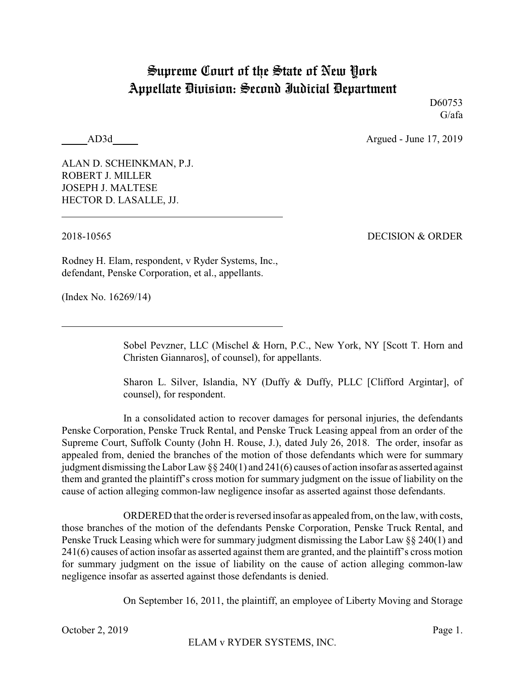## Supreme Court of the State of New York Appellate Division: Second Judicial Department

D60753 G/afa

AD3d Argued - June 17, 2019

ALAN D. SCHEINKMAN, P.J. ROBERT J. MILLER JOSEPH J. MALTESE HECTOR D. LASALLE, JJ.

2018-10565 DECISION & ORDER

Rodney H. Elam, respondent, v Ryder Systems, Inc., defendant, Penske Corporation, et al., appellants.

(Index No. 16269/14)

Sobel Pevzner, LLC (Mischel & Horn, P.C., New York, NY [Scott T. Horn and Christen Giannaros], of counsel), for appellants.

Sharon L. Silver, Islandia, NY (Duffy & Duffy, PLLC [Clifford Argintar], of counsel), for respondent.

In a consolidated action to recover damages for personal injuries, the defendants Penske Corporation, Penske Truck Rental, and Penske Truck Leasing appeal from an order of the Supreme Court, Suffolk County (John H. Rouse, J.), dated July 26, 2018. The order, insofar as appealed from, denied the branches of the motion of those defendants which were for summary judgment dismissing the Labor Law §§ 240(1) and 241(6) causes of action insofar as asserted against them and granted the plaintiff's cross motion for summary judgment on the issue of liability on the cause of action alleging common-law negligence insofar as asserted against those defendants.

ORDERED that the order is reversed insofar as appealed from, on the law, with costs, those branches of the motion of the defendants Penske Corporation, Penske Truck Rental, and Penske Truck Leasing which were for summary judgment dismissing the Labor Law  $\S$  240(1) and 241(6) causes of action insofar as asserted against them are granted, and the plaintiff's cross motion for summary judgment on the issue of liability on the cause of action alleging common-law negligence insofar as asserted against those defendants is denied.

On September 16, 2011, the plaintiff, an employee of Liberty Moving and Storage

October 2, 2019 Page 1.

ELAM v RYDER SYSTEMS, INC.